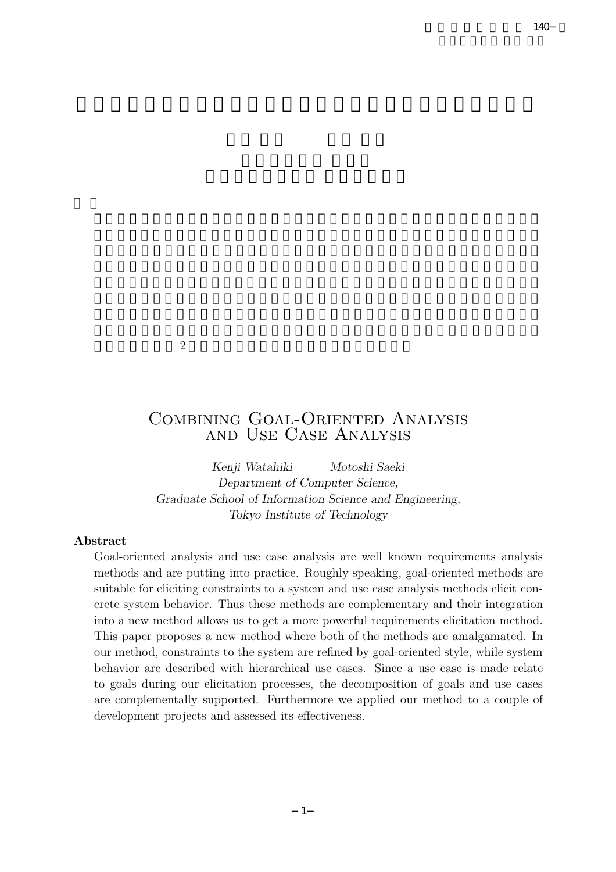$\overline{2}$ 

# Combining Goal-Oriented Analysis and Use Case Analysis

*Kenji Watahiki Motoshi Saeki Department of Computer Science, Graduate School of Information Science and Engineering, Tokyo Institute of Technology*

### **Abstract**

Goal-oriented analysis and use case analysis are well known requirements analysis methods and are putting into practice. Roughly speaking, goal-oriented methods are suitable for eliciting constraints to a system and use case analysis methods elicit concrete system behavior. Thus these methods are complementary and their integration into a new method allows us to get a more powerful requirements elicitation method. This paper proposes a new method where both of the methods are amalgamated. In our method, constraints to the system are refined by goal-oriented style, while system behavior are described with hierarchical use cases. Since a use case is made relate to goals during our elicitation processes, the decomposition of goals and use cases are complementally supported. Furthermore we applied our method to a couple of development projects and assessed its effectiveness.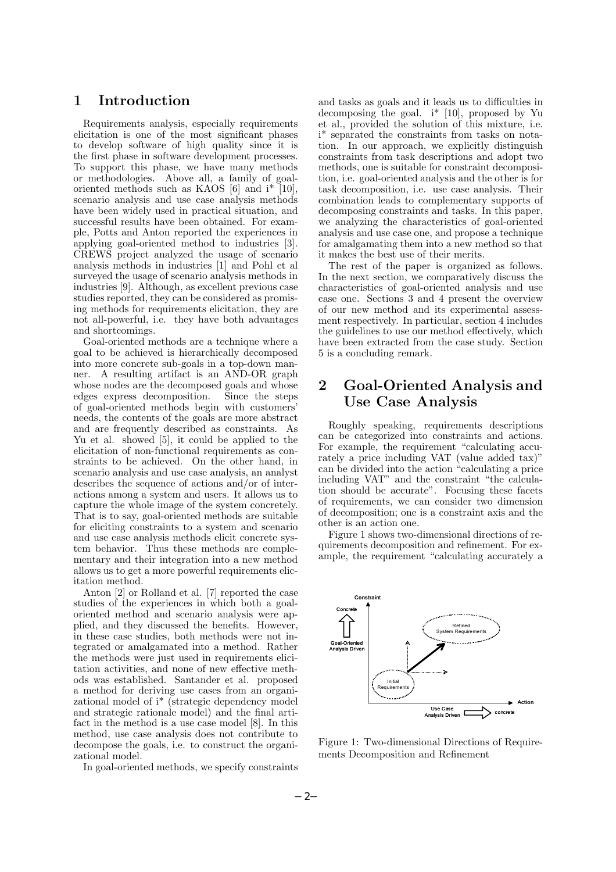# **1 Introduction**

Requirements analysis, especially requirements elicitation is one of the most significant phases to develop software of high quality since it is the first phase in software development processes. To support this phase, we have many methods or methodologies. Above all, a family of goaloriented methods such as KAOS [6] and i\* [10], scenario analysis and use case analysis methods have been widely used in practical situation, and successful results have been obtained. For example, Potts and Anton reported the experiences in applying goal-oriented method to industries [3]. CREWS project analyzed the usage of scenario analysis methods in industries [1] and Pohl et al surveyed the usage of scenario analysis methods in industries [9]. Although, as excellent previous case studies reported, they can be considered as promising methods for requirements elicitation, they are not all-powerful, i.e. they have both advantages and shortcomings.

Goal-oriented methods are a technique where a goal to be achieved is hierarchically decomposed into more concrete sub-goals in a top-down manner. A resulting artifact is an AND-OR graph whose nodes are the decomposed goals and whose edges express decomposition. Since the steps of goal-oriented methods begin with customers' needs, the contents of the goals are more abstract and are frequently described as constraints. As Yu et al. showed [5], it could be applied to the elicitation of non-functional requirements as constraints to be achieved. On the other hand, in scenario analysis and use case analysis, an analyst describes the sequence of actions and/or of interactions among a system and users. It allows us to capture the whole image of the system concretely. That is to say, goal-oriented methods are suitable for eliciting constraints to a system and scenario and use case analysis methods elicit concrete system behavior. Thus these methods are complementary and their integration into a new method allows us to get a more powerful requirements elicitation method.

Anton [2] or Rolland et al. [7] reported the case studies of the experiences in which both a goaloriented method and scenario analysis were applied, and they discussed the benefits. However, in these case studies, both methods were not integrated or amalgamated into a method. Rather the methods were just used in requirements elicitation activities, and none of new effective methods was established. Santander et al. proposed a method for deriving use cases from an organizational model of i\* (strategic dependency model and strategic rationale model) and the final artifact in the method is a use case model [8]. In this method, use case analysis does not contribute to decompose the goals, i.e. to construct the organizational model.

In goal-oriented methods, we specify constraints

and tasks as goals and it leads us to difficulties in decomposing the goal. i\* [10], proposed by Yu et al., provided the solution of this mixture, i.e. i\* separated the constraints from tasks on notation. In our approach, we explicitly distinguish constraints from task descriptions and adopt two methods, one is suitable for constraint decomposition, i.e. goal-oriented analysis and the other is for task decomposition, i.e. use case analysis. Their combination leads to complementary supports of decomposing constraints and tasks. In this paper, we analyzing the characteristics of goal-oriented analysis and use case one, and propose a technique for amalgamating them into a new method so that it makes the best use of their merits.

The rest of the paper is organized as follows. In the next section, we comparatively discuss the characteristics of goal-oriented analysis and use case one. Sections 3 and 4 present the overview of our new method and its experimental assessment respectively. In particular, section 4 includes the guidelines to use our method effectively, which have been extracted from the case study. Section 5 is a concluding remark.

# **2 Goal-Oriented Analysis and Use Case Analysis**

Roughly speaking, requirements descriptions can be categorized into constraints and actions. For example, the requirement "calculating accurately a price including VAT (value added tax)" can be divided into the action "calculating a price including VAT" and the constraint "the calculation should be accurate". Focusing these facets of requirements, we can consider two dimension of decomposition; one is a constraint axis and the other is an action one.

Figure 1 shows two-dimensional directions of requirements decomposition and refinement. For example, the requirement "calculating accurately a



Figure 1: Two-dimensional Directions of Requirements Decomposition and Refinement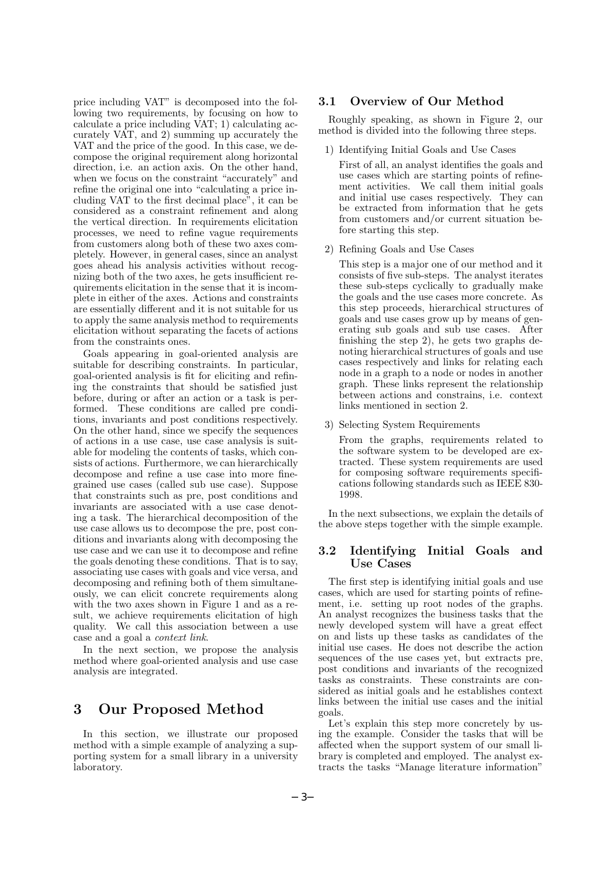price including VAT" is decomposed into the following two requirements, by focusing on how to calculate a price including VAT; 1) calculating accurately VAT, and 2) summing up accurately the VAT and the price of the good. In this case, we decompose the original requirement along horizontal direction, i.e. an action axis. On the other hand, when we focus on the constraint "accurately" and refine the original one into "calculating a price including VAT to the first decimal place", it can be considered as a constraint refinement and along the vertical direction. In requirements elicitation processes, we need to refine vague requirements from customers along both of these two axes completely. However, in general cases, since an analyst goes ahead his analysis activities without recognizing both of the two axes, he gets insufficient requirements elicitation in the sense that it is incomplete in either of the axes. Actions and constraints are essentially different and it is not suitable for us to apply the same analysis method to requirements elicitation without separating the facets of actions from the constraints ones.

Goals appearing in goal-oriented analysis are suitable for describing constraints. In particular, goal-oriented analysis is fit for eliciting and refining the constraints that should be satisfied just before, during or after an action or a task is performed. These conditions are called pre conditions, invariants and post conditions respectively. On the other hand, since we specify the sequences of actions in a use case, use case analysis is suitable for modeling the contents of tasks, which consists of actions. Furthermore, we can hierarchically decompose and refine a use case into more finegrained use cases (called sub use case). Suppose that constraints such as pre, post conditions and invariants are associated with a use case denoting a task. The hierarchical decomposition of the use case allows us to decompose the pre, post conditions and invariants along with decomposing the use case and we can use it to decompose and refine the goals denoting these conditions. That is to say, associating use cases with goals and vice versa, and decomposing and refining both of them simultaneously, we can elicit concrete requirements along with the two axes shown in Figure 1 and as a result, we achieve requirements elicitation of high quality. We call this association between a use case and a goal a *context link*.

In the next section, we propose the analysis method where goal-oriented analysis and use case analysis are integrated.

### **3 Our Proposed Method**

In this section, we illustrate our proposed method with a simple example of analyzing a supporting system for a small library in a university laboratory.

#### **3.1 Overview of Our Method**

Roughly speaking, as shown in Figure 2, our method is divided into the following three steps.

1) Identifying Initial Goals and Use Cases

First of all, an analyst identifies the goals and use cases which are starting points of refinement activities. We call them initial goals and initial use cases respectively. They can be extracted from information that he gets from customers and/or current situation before starting this step.

2) Refining Goals and Use Cases

This step is a major one of our method and it consists of five sub-steps. The analyst iterates these sub-steps cyclically to gradually make the goals and the use cases more concrete. As this step proceeds, hierarchical structures of goals and use cases grow up by means of generating sub goals and sub use cases. After finishing the step 2), he gets two graphs denoting hierarchical structures of goals and use cases respectively and links for relating each node in a graph to a node or nodes in another graph. These links represent the relationship between actions and constrains, i.e. context links mentioned in section 2.

3) Selecting System Requirements

From the graphs, requirements related to the software system to be developed are extracted. These system requirements are used for composing software requirements specifications following standards such as IEEE 830- 1998.

In the next subsections, we explain the details of the above steps together with the simple example.

#### **3.2 Identifying Initial Goals and Use Cases**

The first step is identifying initial goals and use cases, which are used for starting points of refinement, i.e. setting up root nodes of the graphs. An analyst recognizes the business tasks that the newly developed system will have a great effect on and lists up these tasks as candidates of the initial use cases. He does not describe the action sequences of the use cases yet, but extracts pre, post conditions and invariants of the recognized tasks as constraints. These constraints are considered as initial goals and he establishes context links between the initial use cases and the initial goals.

Let's explain this step more concretely by using the example. Consider the tasks that will be affected when the support system of our small library is completed and employed. The analyst extracts the tasks "Manage literature information"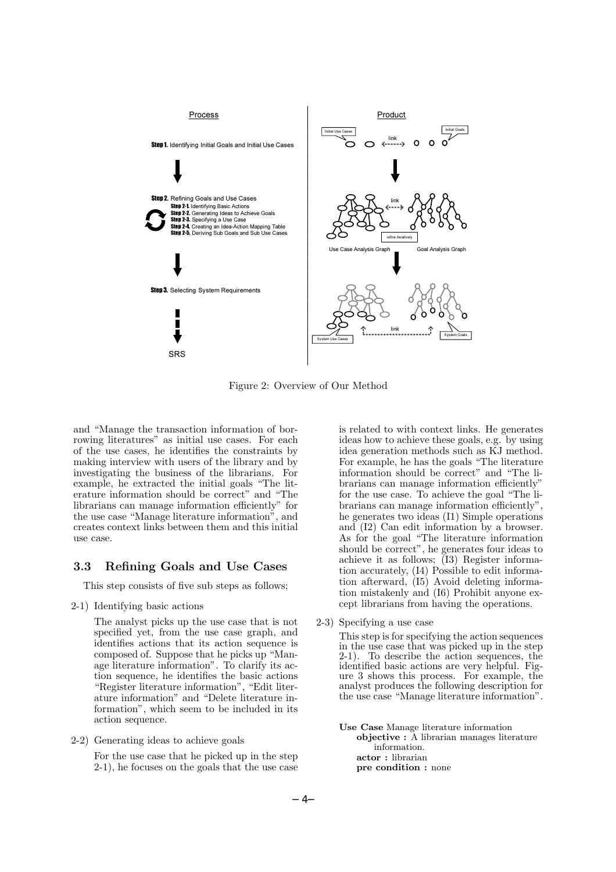

Figure 2: Overview of Our Method

and "Manage the transaction information of borrowing literatures" as initial use cases. For each of the use cases, he identifies the constraints by making interview with users of the library and by investigating the business of the librarians. For example, he extracted the initial goals "The literature information should be correct" and "The librarians can manage information efficiently" for the use case "Manage literature information", and creates context links between them and this initial use case.

#### **3.3 Refining Goals and Use Cases**

This step consists of five sub steps as follows;

2-1) Identifying basic actions

The analyst picks up the use case that is not specified yet, from the use case graph, and identifies actions that its action sequence is composed of. Suppose that he picks up "Manage literature information". To clarify its action sequence, he identifies the basic actions "Register literature information", "Edit literature information" and "Delete literature information", which seem to be included in its action sequence.

2-2) Generating ideas to achieve goals

For the use case that he picked up in the step 2-1), he focuses on the goals that the use case is related to with context links. He generates ideas how to achieve these goals, e.g. by using idea generation methods such as KJ method. For example, he has the goals "The literature information should be correct" and "The librarians can manage information efficiently" for the use case. To achieve the goal "The librarians can manage information efficiently", he generates two ideas (I1) Simple operations and (I2) Can edit information by a browser. As for the goal "The literature information" should be correct", he generates four ideas to achieve it as follows; (I3) Register information accurately, (I4) Possible to edit information afterward, (I5) Avoid deleting information mistakenly and (I6) Prohibit anyone except librarians from having the operations.

2-3) Specifying a use case

This step is for specifying the action sequences in the use case that was picked up in the step 2-1). To describe the action sequences, the identified basic actions are very helpful. Figure 3 shows this process. For example, the analyst produces the following description for the use case "Manage literature information".

**Use Case** Manage literature information **objective :** A librarian manages literature information. **actor :** librarian **pre condition :** none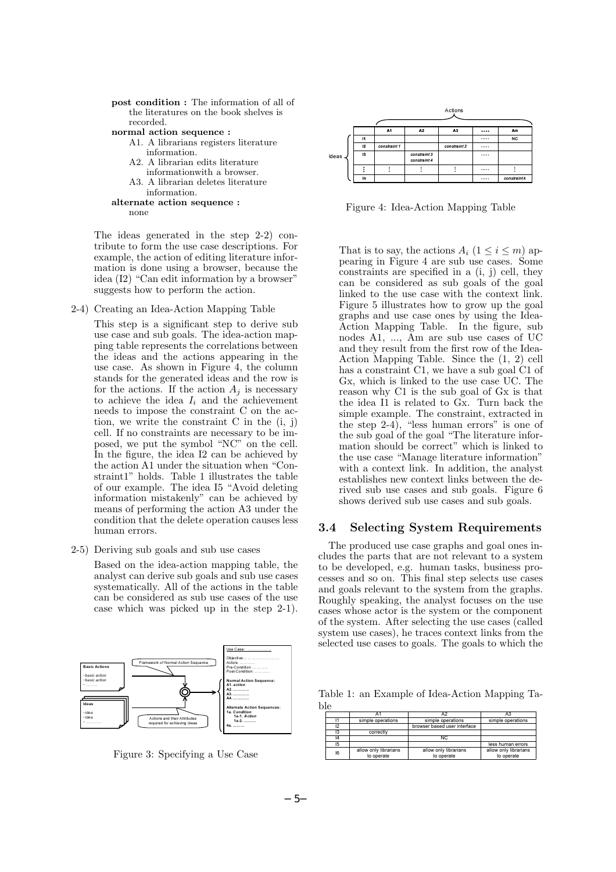```
post condition : The information of all of
 the literatures on the book shelves is
 recorded.
```
**normal action sequence :**

- A1. A librarians registers literature information.
- A2. A librarian edits literature informationwith a browser.
- A3. A librarian deletes literature information.

```
alternate action sequence :
none
```
The ideas generated in the step 2-2) contribute to form the use case descriptions. For example, the action of editing literature information is done using a browser, because the idea (I2) "Can edit information by a browser" suggests how to perform the action.

2-4) Creating an Idea-Action Mapping Table

This step is a significant step to derive sub use case and sub goals. The idea-action mapping table represents the correlations between the ideas and the actions appearing in the use case. As shown in Figure 4, the column stands for the generated ideas and the row is for the actions. If the action  $A_j$  is necessary to achieve the idea  $I_i$  and the achievement needs to impose the constraint C on the action, we write the constraint C in the (i, j) cell. If no constraints are necessary to be imposed, we put the symbol "NC" on the cell. In the figure, the idea I2 can be achieved by the action A1 under the situation when "Constraint1" holds. Table 1 illustrates the table of our example. The idea I5 "Avoid deleting information mistakenly" can be achieved by means of performing the action A3 under the condition that the delete operation causes less human errors.

2-5) Deriving sub goals and sub use cases

Based on the idea-action mapping table, the analyst can derive sub goals and sub use cases systematically. All of the actions in the table can be considered as sub use cases of the use case which was picked up in the step 2-1).



Figure 3: Specifying a Use Case



Figure 4: Idea-Action Mapping Table

That is to say, the actions  $A_i$  ( $1 \leq i \leq m$ ) appearing in Figure 4 are sub use cases. Some constraints are specified in a (i, j) cell, they can be considered as sub goals of the goal linked to the use case with the context link. Figure 5 illustrates how to grow up the goal graphs and use case ones by using the Idea-Action Mapping Table. In the figure, sub nodes A1, ..., Am are sub use cases of UC and they result from the first row of the Idea-Action Mapping Table. Since the (1, 2) cell has a constraint C1, we have a sub goal C1 of Gx, which is linked to the use case UC. The reason why C1 is the sub goal of Gx is that the idea I1 is related to Gx. Turn back the simple example. The constraint, extracted in the step  $2-4$ , "less human errors" is one of the sub goal of the goal "The literature information should be correct" which is linked to the use case "Manage literature information" with a context link. In addition, the analyst establishes new context links between the derived sub use cases and sub goals. Figure 6 shows derived sub use cases and sub goals.

#### **3.4 Selecting System Requirements**

The produced use case graphs and goal ones includes the parts that are not relevant to a system to be developed, e.g. human tasks, business processes and so on. This final step selects use cases and goals relevant to the system from the graphs. Roughly speaking, the analyst focuses on the use cases whose actor is the system or the component of the system. After selecting the use cases (called system use cases), he traces context links from the selected use cases to goals. The goals to which the

Table 1: an Example of Idea-Action Mapping Ta-

| ble |    |                       |                              |                       |
|-----|----|-----------------------|------------------------------|-----------------------|
|     |    | Α1                    | A2                           |                       |
|     | 11 | simple operations     | simple operations            | simple operations     |
|     | 12 |                       | browser based user interface |                       |
|     | 13 | correctly             |                              |                       |
|     | 14 |                       | NC.                          |                       |
|     | 15 |                       |                              | less human errors     |
|     | 16 | allow only librarians | allow only librarians        | allow only librarians |
|     |    | to operate            | to operate                   | to operate            |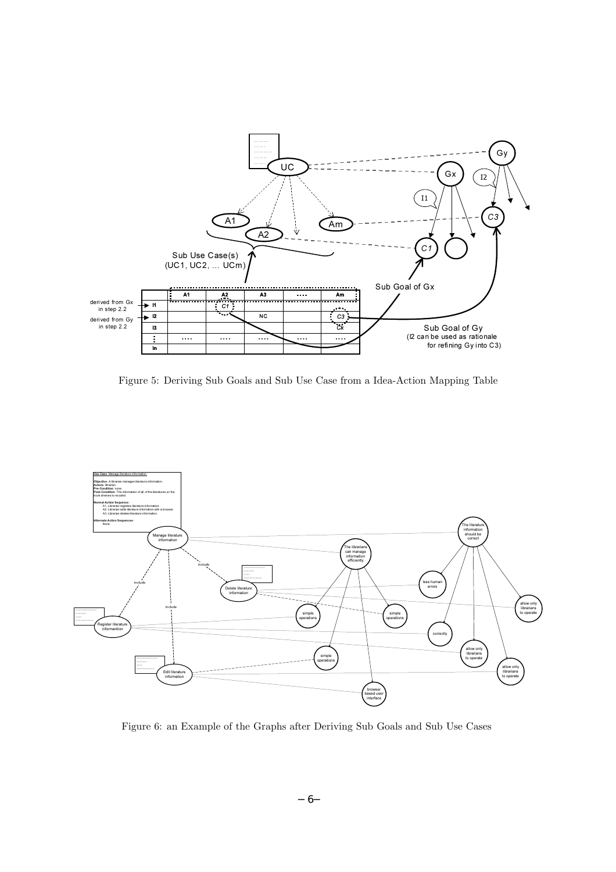

Figure 5: Deriving Sub Goals and Sub Use Case from a Idea-Action Mapping Table



Figure 6: an Example of the Graphs after Deriving Sub Goals and Sub Use Cases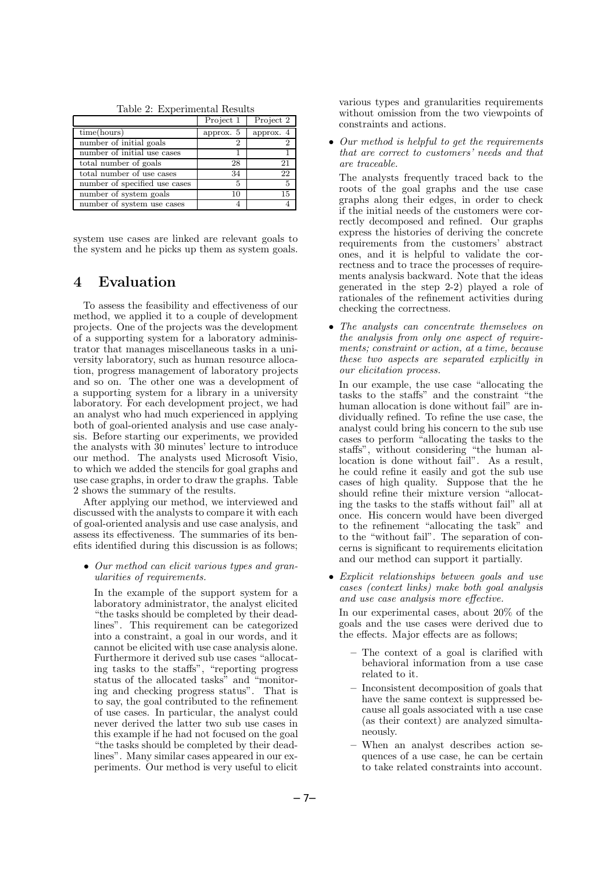|                               | Project 1 | Project 2 |
|-------------------------------|-----------|-----------|
| time(hours)                   | approx. 5 | approx. 4 |
| number of initial goals       | 2         |           |
| number of initial use cases   |           |           |
| total number of goals         | 28        | 21        |
| total number of use cases     | 34        | 22        |
| number of specified use cases | 5         | 5         |
| number of system goals        | 10        | 15        |
| number of system use cases    |           |           |

system use cases are linked are relevant goals to the system and he picks up them as system goals.

### **4 Evaluation**

To assess the feasibility and effectiveness of our method, we applied it to a couple of development projects. One of the projects was the development of a supporting system for a laboratory administrator that manages miscellaneous tasks in a university laboratory, such as human resource allocation, progress management of laboratory projects and so on. The other one was a development of a supporting system for a library in a university laboratory. For each development project, we had an analyst who had much experienced in applying both of goal-oriented analysis and use case analysis. Before starting our experiments, we provided the analysts with 30 minutes' lecture to introduce our method. The analysts used Microsoft Visio, to which we added the stencils for goal graphs and use case graphs, in order to draw the graphs. Table 2 shows the summary of the results.

After applying our method, we interviewed and discussed with the analysts to compare it with each of goal-oriented analysis and use case analysis, and assess its effectiveness. The summaries of its benefits identified during this discussion is as follows;

• *Our method can elicit various types and granularities of requirements.*

In the example of the support system for a laboratory administrator, the analyst elicited "the tasks should be completed by their deadlines". This requirement can be categorized into a constraint, a goal in our words, and it cannot be elicited with use case analysis alone. Furthermore it derived sub use cases "allocating tasks to the staffs", "reporting progress status of the allocated tasks" and "monitoring and checking progress status". That is to say, the goal contributed to the refinement of use cases. In particular, the analyst could never derived the latter two sub use cases in this example if he had not focused on the goal "the tasks should be completed by their deadlines". Many similar cases appeared in our experiments. Our method is very useful to elicit

various types and granularities requirements without omission from the two viewpoints of constraints and actions.

• *Our method is helpful to get the requirements that are correct to customers' needs and that are traceable.*

The analysts frequently traced back to the roots of the goal graphs and the use case graphs along their edges, in order to check if the initial needs of the customers were correctly decomposed and refined. Our graphs express the histories of deriving the concrete requirements from the customers' abstract ones, and it is helpful to validate the correctness and to trace the processes of requirements analysis backward. Note that the ideas generated in the step 2-2) played a role of rationales of the refinement activities during checking the correctness.

• *The analysts can concentrate themselves on the analysis from only one aspect of requirements; constraint or action, at a time, because these two aspects are separated explicitly in our elicitation process.*

In our example, the use case "allocating the tasks to the staffs" and the constraint "the human allocation is done without fail" are individually refined. To refine the use case, the analyst could bring his concern to the sub use cases to perform "allocating the tasks to the staffs", without considering "the human allocation is done without fail". As a result, he could refine it easily and got the sub use cases of high quality. Suppose that the he should refine their mixture version "allocating the tasks to the staffs without fail" all at once. His concern would have been diverged to the refinement "allocating the task" and to the "without fail". The separation of concerns is significant to requirements elicitation and our method can support it partially.

• *Explicit relationships between goals and use cases (context links) make both goal analysis and use case analysis more effective.*

In our experimental cases, about 20% of the goals and the use cases were derived due to the effects. Major effects are as follows;

- **–** The context of a goal is clarified with behavioral information from a use case related to it.
- **–** Inconsistent decomposition of goals that have the same context is suppressed because all goals associated with a use case (as their context) are analyzed simultaneously.
- **–** When an analyst describes action sequences of a use case, he can be certain to take related constraints into account.